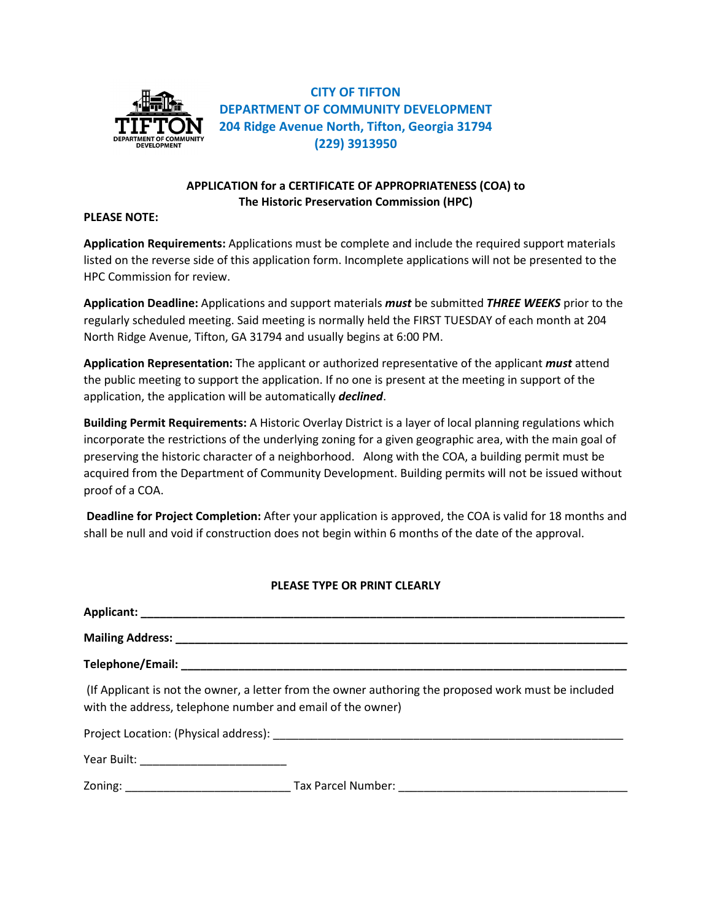

**CITY OF TIFTON DEPARTMENT OF COMMUNITY DEVELOPMENT 204 Ridge Avenue North, Tifton, Georgia 31794 (229) 3913950**

## **APPLICATION for a CERTIFICATE OF APPROPRIATENESS (COA) to The Historic Preservation Commission (HPC)**

### **PLEASE NOTE:**

**Application Requirements:** Applications must be complete and include the required support materials listed on the reverse side of this application form. Incomplete applications will not be presented to the HPC Commission for review.

**Application Deadline:** Applications and support materials *must* be submitted *THREE WEEKS* prior to the regularly scheduled meeting. Said meeting is normally held the FIRST TUESDAY of each month at 204 North Ridge Avenue, Tifton, GA 31794 and usually begins at 6:00 PM.

**Application Representation:** The applicant or authorized representative of the applicant *must* attend the public meeting to support the application. If no one is present at the meeting in support of the application, the application will be automatically *declined*.

**Building Permit Requirements:** A Historic Overlay District is a layer of local planning regulations which incorporate the restrictions of the underlying zoning for a given geographic area, with the main goal of preserving the historic character of a neighborhood. Along with the COA, a building permit must be acquired from the Department of Community Development. Building permits will not be issued without proof of a COA.

**Deadline for Project Completion:** After your application is approved, the COA is valid for 18 months and shall be null and void if construction does not begin within 6 months of the date of the approval.

## **PLEASE TYPE OR PRINT CLEARLY**

| (If Applicant is not the owner, a letter from the owner authoring the proposed work must be included<br>with the address, telephone number and email of the owner) |                                               |
|--------------------------------------------------------------------------------------------------------------------------------------------------------------------|-----------------------------------------------|
|                                                                                                                                                                    |                                               |
|                                                                                                                                                                    |                                               |
|                                                                                                                                                                    | Zoning: Tax Parcel Number: Tax Parcel Number: |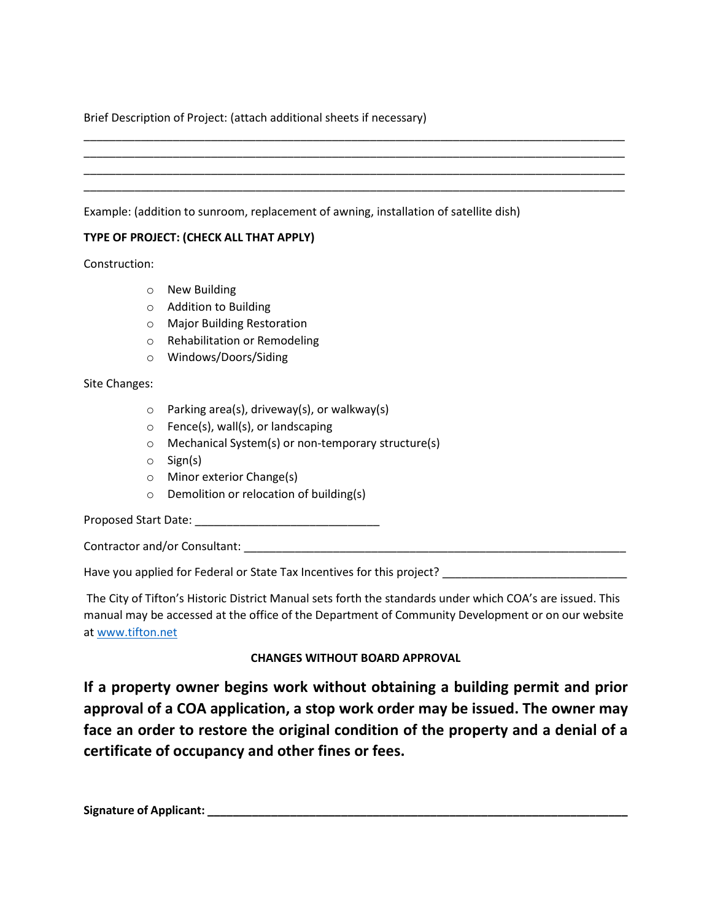## Brief Description of Project: (attach additional sheets if necessary)

## \_\_\_\_\_\_\_\_\_\_\_\_\_\_\_\_\_\_\_\_\_\_\_\_\_\_\_\_\_\_\_\_\_\_\_\_\_\_\_\_\_\_\_\_\_\_\_\_\_\_\_\_\_\_\_\_\_\_\_\_\_\_\_\_\_\_\_\_\_\_\_\_\_\_\_\_\_\_\_\_\_\_\_\_\_ \_\_\_\_\_\_\_\_\_\_\_\_\_\_\_\_\_\_\_\_\_\_\_\_\_\_\_\_\_\_\_\_\_\_\_\_\_\_\_\_\_\_\_\_\_\_\_\_\_\_\_\_\_\_\_\_\_\_\_\_\_\_\_\_\_\_\_\_\_\_\_\_\_\_\_\_\_\_\_\_\_\_\_\_\_ \_\_\_\_\_\_\_\_\_\_\_\_\_\_\_\_\_\_\_\_\_\_\_\_\_\_\_\_\_\_\_\_\_\_\_\_\_\_\_\_\_\_\_\_\_\_\_\_\_\_\_\_\_\_\_\_\_\_\_\_\_\_\_\_\_\_\_\_\_\_\_\_\_\_\_\_\_\_\_\_\_\_\_\_\_ \_\_\_\_\_\_\_\_\_\_\_\_\_\_\_\_\_\_\_\_\_\_\_\_\_\_\_\_\_\_\_\_\_\_\_\_\_\_\_\_\_\_\_\_\_\_\_\_\_\_\_\_\_\_\_\_\_\_\_\_\_\_\_\_\_\_\_\_\_\_\_\_\_\_\_\_\_\_\_\_\_\_\_\_\_

Example: (addition to sunroom, replacement of awning, installation of satellite dish)

## **TYPE OF PROJECT: (CHECK ALL THAT APPLY)**

Construction:

- o New Building
- o Addition to Building
- o Major Building Restoration
- o Rehabilitation or Remodeling
- o Windows/Doors/Siding

Site Changes:

- o Parking area(s), driveway(s), or walkway(s)
- $\circ$  Fence(s), wall(s), or landscaping
- o Mechanical System(s) or non-temporary structure(s)
- o Sign(s)
- o Minor exterior Change(s)
- o Demolition or relocation of building(s)

Proposed Start Date: \_\_\_\_\_\_\_\_\_\_\_\_\_\_\_\_\_\_\_\_\_\_\_\_\_\_\_\_\_

Contractor and/or Consultant: \_\_\_\_\_\_\_\_\_\_\_\_\_\_\_\_\_\_\_\_\_\_\_\_\_\_\_\_\_\_\_\_\_\_\_\_\_\_\_\_\_\_\_\_\_\_\_\_\_\_\_\_\_\_\_\_\_\_\_\_

Have you applied for Federal or State Tax Incentives for this project? \_\_\_\_\_\_\_\_\_\_\_\_\_\_\_\_

The City of Tifton's Historic District Manual sets forth the standards under which COA's are issued. This manual may be accessed at the office of the Department of Community Development or on our website a[t www.tifton.net](http://www.tifton.net/) 

# **CHANGES WITHOUT BOARD APPROVAL**

**If a property owner begins work without obtaining a building permit and prior approval of a COA application, a stop work order may be issued. The owner may face an order to restore the original condition of the property and a denial of a certificate of occupancy and other fines or fees.** 

**Signature of Applicant: \_\_\_\_\_\_\_\_\_\_\_\_\_\_\_\_\_\_\_\_\_\_\_\_\_\_\_\_\_\_\_\_\_\_\_\_\_\_\_\_\_\_\_\_\_\_\_\_\_\_\_\_\_\_\_\_\_\_\_\_\_\_\_\_\_\_**